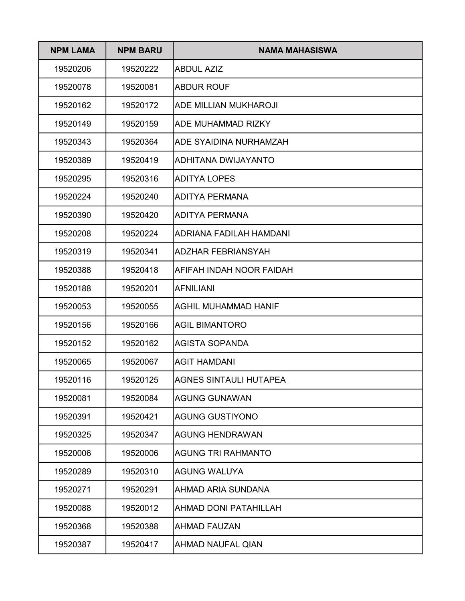| <b>NPM LAMA</b> | <b>NPM BARU</b> | NAMA MAHASISWA                 |
|-----------------|-----------------|--------------------------------|
| 19520206        | 19520222        | <b>ABDUL AZIZ</b>              |
| 19520078        | 19520081        | <b>ABDUR ROUF</b>              |
| 19520162        | 19520172        | <b>ADE MILLIAN MUKHAROJI</b>   |
| 19520149        | 19520159        | <b>ADE MUHAMMAD RIZKY</b>      |
| 19520343        | 19520364        | <b>ADE SYAIDINA NURHAMZAH</b>  |
| 19520389        | 19520419        | ADHITANA DWIJAYANTO            |
| 19520295        | 19520316        | <b>ADITYA LOPES</b>            |
| 19520224        | 19520240        | <b>ADITYA PERMANA</b>          |
| 19520390        | 19520420        | <b>ADITYA PERMANA</b>          |
| 19520208        | 19520224        | <b>ADRIANA FADILAH HAMDANI</b> |
| 19520319        | 19520341        | <b>ADZHAR FEBRIANSYAH</b>      |
| 19520388        | 19520418        | AFIFAH INDAH NOOR FAIDAH       |
| 19520188        | 19520201        | <b>AFNILIANI</b>               |
| 19520053        | 19520055        | <b>AGHIL MUHAMMAD HANIF</b>    |
| 19520156        | 19520166        | <b>AGIL BIMANTORO</b>          |
| 19520152        | 19520162        | AGISTA SOPANDA                 |
| 19520065        | 19520067        | AGIT HAMDANI                   |
| 19520116        | 19520125        | AGNES SINTAULI HUTAPEA         |
| 19520081        | 19520084        | <b>AGUNG GUNAWAN</b>           |
| 19520391        | 19520421        | <b>AGUNG GUSTIYONO</b>         |
| 19520325        | 19520347        | <b>AGUNG HENDRAWAN</b>         |
| 19520006        | 19520006        | <b>AGUNG TRI RAHMANTO</b>      |
| 19520289        | 19520310        | <b>AGUNG WALUYA</b>            |
| 19520271        | 19520291        | AHMAD ARIA SUNDANA             |
| 19520088        | 19520012        | <b>AHMAD DONI PATAHILLAH</b>   |
| 19520368        | 19520388        | <b>AHMAD FAUZAN</b>            |
| 19520387        | 19520417        | <b>AHMAD NAUFAL QIAN</b>       |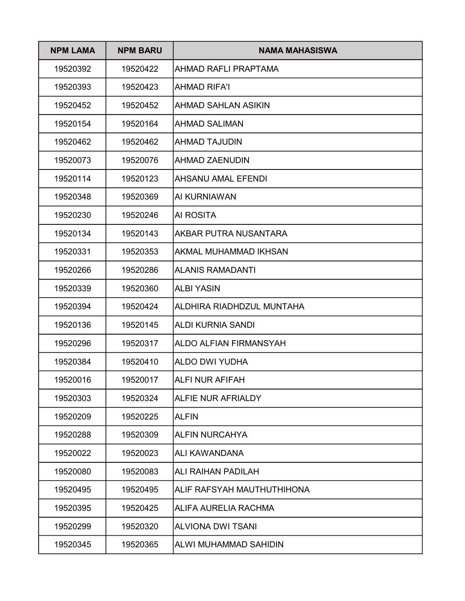| <b>NPM LAMA</b> | <b>NPM BARU</b> | NAMA MAHASISWA                |
|-----------------|-----------------|-------------------------------|
| 19520392        | 19520422        | AHMAD RAFLI PRAPTAMA          |
| 19520393        | 19520423        | IAHMAD RIFA'I                 |
| 19520452        | 19520452        | AHMAD SAHLAN ASIKIN           |
| 19520154        | 19520164        | <b>AHMAD SALIMAN</b>          |
| 19520462        | 19520462        | <b>AHMAD TAJUDIN</b>          |
| 19520073        | 19520076        | <b>AHMAD ZAENUDIN</b>         |
| 19520114        | 19520123        | AHSANU AMAL EFENDI            |
| 19520348        | 19520369        | AI KURNIAWAN                  |
| 19520230        | 19520246        | <b>AI ROSITA</b>              |
| 19520134        | 19520143        | AKBAR PUTRA NUSANTARA         |
| 19520331        | 19520353        | AKMAL MUHAMMAD IKHSAN         |
| 19520266        | 19520286        | <b>ALANIS RAMADANTI</b>       |
| 19520339        | 19520360        | <b>ALBI YASIN</b>             |
| 19520394        | 19520424        | ALDHIRA RIADHDZUL MUNTAHA     |
| 19520136        | 19520145        | IALDI KURNIA SANDI            |
| 19520296        | 19520317        | <b>ALDO ALFIAN FIRMANSYAH</b> |
| 19520384        | 19520410        | ALDO DWI YUDHA                |
| 19520016        | 19520017        | ALFI NUR AFIFAH               |
| 19520303        | 19520324        | <b>ALFIE NUR AFRIALDY</b>     |
| 19520209        | 19520225        | <b>ALFIN</b>                  |
| 19520288        | 19520309        | <b>ALFIN NURCAHYA</b>         |
| 19520022        | 19520023        | ALI KAWANDANA                 |
| 19520080        | 19520083        | <b>ALI RAIHAN PADILAH</b>     |
| 19520495        | 19520495        | ALIF RAFSYAH MAUTHUTHIHONA    |
| 19520395        | 19520425        | <b>ALIFA AURELIA RACHMA</b>   |
| 19520299        | 19520320        | <b>ALVIONA DWI TSANI</b>      |
| 19520345        | 19520365        | ALWI MUHAMMAD SAHIDIN         |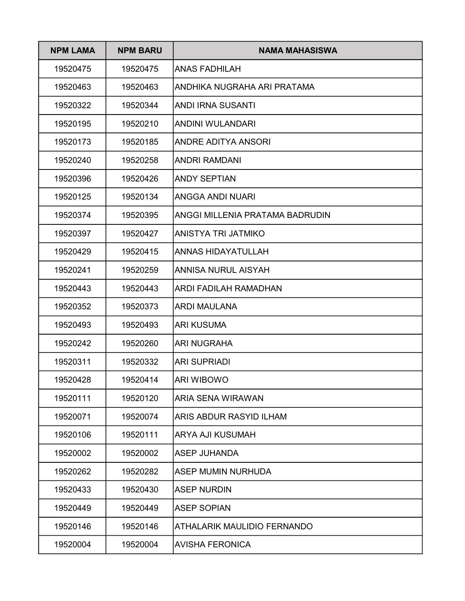| <b>NPM LAMA</b> | <b>NPM BARU</b> | NAMA MAHASISWA                     |
|-----------------|-----------------|------------------------------------|
| 19520475        | 19520475        | <b>ANAS FADHILAH</b>               |
| 19520463        | 19520463        | ANDHIKA NUGRAHA ARI PRATAMA        |
| 19520322        | 19520344        | ANDI IRNA SUSANTI                  |
| 19520195        | 19520210        | ANDINI WULANDARI                   |
| 19520173        | 19520185        | ANDRE ADITYA ANSORI                |
| 19520240        | 19520258        | <b>ANDRI RAMDANI</b>               |
| 19520396        | 19520426        | <b>ANDY SEPTIAN</b>                |
| 19520125        | 19520134        | ANGGA ANDI NUARI                   |
| 19520374        | 19520395        | ANGGI MILLENIA PRATAMA BADRUDIN    |
| 19520397        | 19520427        | ANISTYA TRI JATMIKO                |
| 19520429        | 19520415        | <b>ANNAS HIDAYATULLAH</b>          |
| 19520241        | 19520259        | <b>ANNISA NURUL AISYAH</b>         |
| 19520443        | 19520443        | ARDI FADILAH RAMADHAN              |
| 19520352        | 19520373        | ARDI MAULANA                       |
| 19520493        | 19520493        | <b>ARI KUSUMA</b>                  |
| 19520242        | 19520260        | <b>ARI NUGRAHA</b>                 |
| 19520311        | 19520332        | <b>ARI SUPRIADI</b>                |
| 19520428        | 19520414        | ARI WIBOWO                         |
| 19520111        | 19520120        | <b>ARIA SENA WIRAWAN</b>           |
| 19520071        | 19520074        | <b>ARIS ABDUR RASYID ILHAM</b>     |
| 19520106        | 19520111        | <b>ARYA AJI KUSUMAH</b>            |
| 19520002        | 19520002        | <b>ASEP JUHANDA</b>                |
| 19520262        | 19520282        | <b>ASEP MUMIN NURHUDA</b>          |
| 19520433        | 19520430        | <b>ASEP NURDIN</b>                 |
| 19520449        | 19520449        | <b>ASEP SOPIAN</b>                 |
| 19520146        | 19520146        | <b>ATHALARIK MAULIDIO FERNANDO</b> |
| 19520004        | 19520004        | <b>AVISHA FERONICA</b>             |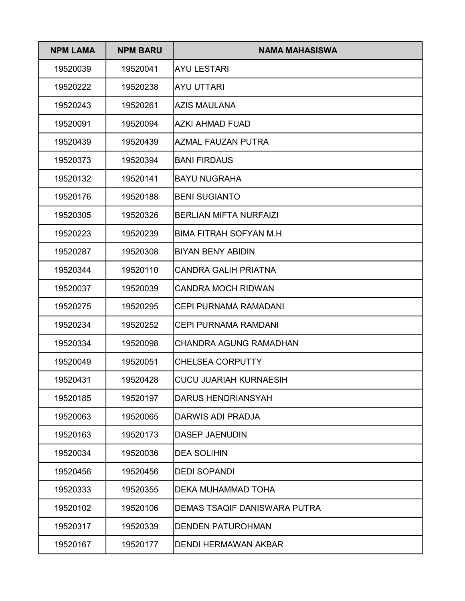| <b>NPM LAMA</b> | <b>NPM BARU</b> | NAMA MAHASISWA                |
|-----------------|-----------------|-------------------------------|
| 19520039        | 19520041        | <b>AYU LESTARI</b>            |
| 19520222        | 19520238        | <b>AYU UTTARI</b>             |
| 19520243        | 19520261        | AZIS MAULANA                  |
| 19520091        | 19520094        | <b>AZKI AHMAD FUAD</b>        |
| 19520439        | 19520439        | AZMAL FAUZAN PUTRA            |
| 19520373        | 19520394        | <b>BANI FIRDAUS</b>           |
| 19520132        | 19520141        | <b>BAYU NUGRAHA</b>           |
| 19520176        | 19520188        | <b>BENI SUGIANTO</b>          |
| 19520305        | 19520326        | <b>BERLIAN MIFTA NURFAIZI</b> |
| 19520223        | 19520239        | BIMA FITRAH SOFYAN M.H.       |
| 19520287        | 19520308        | <b>BIYAN BENY ABIDIN</b>      |
| 19520344        | 19520110        | <b>CANDRA GALIH PRIATNA</b>   |
| 19520037        | 19520039        | <b>CANDRA MOCH RIDWAN</b>     |
| 19520275        | 19520295        | <b>CEPI PURNAMA RAMADANI</b>  |
| 19520234        | 19520252        | <b>CEPI PURNAMA RAMDANI</b>   |
| 19520334        | 19520098        | <b>CHANDRA AGUNG RAMADHAN</b> |
| 19520049        | 19520051        | <b>CHELSEA CORPUTTY</b>       |
| 19520431        | 19520428        | <b>CUCU JUARIAH KURNAESIH</b> |
| 19520185        | 19520197        | <b>DARUS HENDRIANSYAH</b>     |
| 19520063        | 19520065        | <b>DARWIS ADI PRADJA</b>      |
| 19520163        | 19520173        | <b>DASEP JAENUDIN</b>         |
| 19520034        | 19520036        | <b>DEA SOLIHIN</b>            |
| 19520456        | 19520456        | <b>DEDI SOPANDI</b>           |
| 19520333        | 19520355        | DEKA MUHAMMAD TOHA            |
| 19520102        | 19520106        | DEMAS TSAQIF DANISWARA PUTRA  |
| 19520317        | 19520339        | <b>DENDEN PATUROHMAN</b>      |
| 19520167        | 19520177        | <b>DENDI HERMAWAN AKBAR</b>   |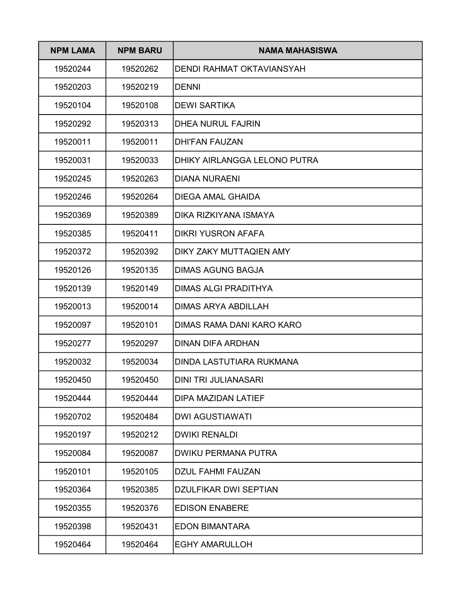| <b>NPM LAMA</b> | <b>NPM BARU</b> | NAMA MAHASISWA               |
|-----------------|-----------------|------------------------------|
| 19520244        | 19520262        | DENDI RAHMAT OKTAVIANSYAH    |
| 19520203        | 19520219        | <b>DENNI</b>                 |
| 19520104        | 19520108        | <b>DEWI SARTIKA</b>          |
| 19520292        | 19520313        | <b>DHEA NURUL FAJRIN</b>     |
| 19520011        | 19520011        | <b>DHI'FAN FAUZAN</b>        |
| 19520031        | 19520033        | DHIKY AIRLANGGA LELONO PUTRA |
| 19520245        | 19520263        | DIANA NURAENI                |
| 19520246        | 19520264        | <b>DIEGA AMAL GHAIDA</b>     |
| 19520369        | 19520389        | DIKA RIZKIYANA ISMAYA        |
| 19520385        | 19520411        | <b>DIKRI YUSRON AFAFA</b>    |
| 19520372        | 19520392        | DIKY ZAKY MUTTAQIEN AMY      |
| 19520126        | 19520135        | <b>DIMAS AGUNG BAGJA</b>     |
| 19520139        | 19520149        | <b>DIMAS ALGI PRADITHYA</b>  |
| 19520013        | 19520014        | <b>DIMAS ARYA ABDILLAH</b>   |
| 19520097        | 19520101        | DIMAS RAMA DANI KARO KARO    |
| 19520277        | 19520297        | <b>DINAN DIFA ARDHAN</b>     |
| 19520032        | 19520034        | DINDA LASTUTIARA RUKMANA     |
| 19520450        | 19520450        | DINI TRI JULIANASARI         |
| 19520444        | 19520444        | <b>DIPA MAZIDAN LATIEF</b>   |
| 19520702        | 19520484        | <b>DWI AGUSTIAWATI</b>       |
| 19520197        | 19520212        | <b>DWIKI RENALDI</b>         |
| 19520084        | 19520087        | <b>DWIKU PERMANA PUTRA</b>   |
| 19520101        | 19520105        | <b>DZUL FAHMI FAUZAN</b>     |
| 19520364        | 19520385        | <b>DZULFIKAR DWI SEPTIAN</b> |
| 19520355        | 19520376        | <b>EDISON ENABERE</b>        |
| 19520398        | 19520431        | <b>EDON BIMANTARA</b>        |
| 19520464        | 19520464        | <b>EGHY AMARULLOH</b>        |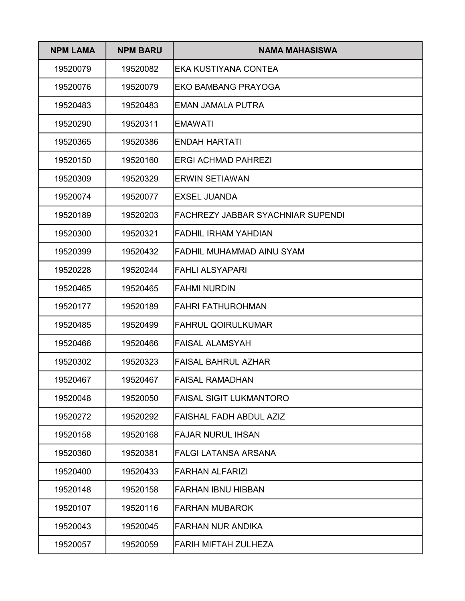| <b>NPM LAMA</b> | <b>NPM BARU</b> | <b>NAMA MAHASISWA</b>                    |
|-----------------|-----------------|------------------------------------------|
| 19520079        | 19520082        | EKA KUSTIYANA CONTEA                     |
| 19520076        | 19520079        | <b>EKO BAMBANG PRAYOGA</b>               |
| 19520483        | 19520483        | EMAN JAMALA PUTRA                        |
| 19520290        | 19520311        | <b>EMAWATI</b>                           |
| 19520365        | 19520386        | ENDAH HARTATI                            |
| 19520150        | 19520160        | ERGI ACHMAD PAHREZI                      |
| 19520309        | 19520329        | <b>ERWIN SETIAWAN</b>                    |
| 19520074        | 19520077        | <b>EXSEL JUANDA</b>                      |
| 19520189        | 19520203        | <b>FACHREZY JABBAR SYACHNIAR SUPENDI</b> |
| 19520300        | 19520321        | <b>FADHIL IRHAM YAHDIAN</b>              |
| 19520399        | 19520432        | FADHIL MUHAMMAD AINU SYAM                |
| 19520228        | 19520244        | <b>FAHLI ALSYAPARI</b>                   |
| 19520465        | 19520465        | <b>FAHMI NURDIN</b>                      |
| 19520177        | 19520189        | <b>FAHRI FATHUROHMAN</b>                 |
| 19520485        | 19520499        | <b>FAHRUL QOIRULKUMAR</b>                |
| 19520466        | 19520466        | <b>FAISAL ALAMSYAH</b>                   |
| 19520302        | 19520323        | <b>FAISAL BAHRUL AZHAR</b>               |
| 19520467        | 19520467        | FAISAL RAMADHAN                          |
| 19520048        | 19520050        | <b>FAISAL SIGIT LUKMANTORO</b>           |
| 19520272        | 19520292        | FAISHAL FADH ABDUL AZIZ                  |
| 19520158        | 19520168        | <b>FAJAR NURUL IHSAN</b>                 |
| 19520360        | 19520381        | <b>FALGI LATANSA ARSANA</b>              |
| 19520400        | 19520433        | <b>FARHAN ALFARIZI</b>                   |
| 19520148        | 19520158        | <b>FARHAN IBNU HIBBAN</b>                |
| 19520107        | 19520116        | <b>FARHAN MUBAROK</b>                    |
| 19520043        | 19520045        | <b>FARHAN NUR ANDIKA</b>                 |
| 19520057        | 19520059        | FARIH MIFTAH ZULHEZA                     |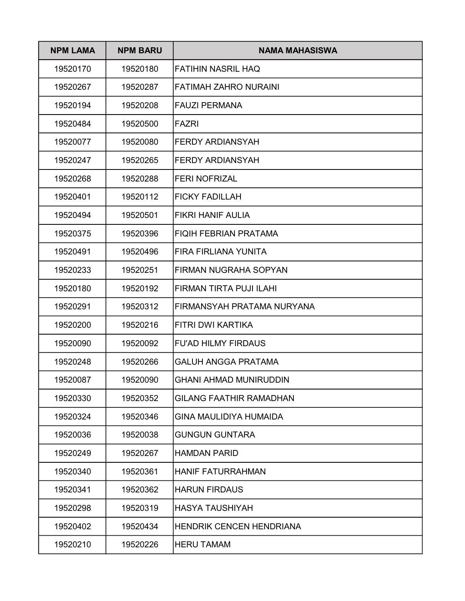| <b>NPM LAMA</b> | <b>NPM BARU</b> | NAMA MAHASISWA                  |
|-----------------|-----------------|---------------------------------|
| 19520170        | 19520180        | <b>FATIHIN NASRIL HAQ</b>       |
| 19520267        | 19520287        | <b>FATIMAH ZAHRO NURAINI</b>    |
| 19520194        | 19520208        | <b>FAUZI PERMANA</b>            |
| 19520484        | 19520500        | <b>FAZRI</b>                    |
| 19520077        | 19520080        | <b>FERDY ARDIANSYAH</b>         |
| 19520247        | 19520265        | FERDY ARDIANSYAH                |
| 19520268        | 19520288        | <b>FERI NOFRIZAL</b>            |
| 19520401        | 19520112        | <b>FICKY FADILLAH</b>           |
| 19520494        | 19520501        | <b>FIKRI HANIF AULIA</b>        |
| 19520375        | 19520396        | <b>FIQIH FEBRIAN PRATAMA</b>    |
| 19520491        | 19520496        | FIRA FIRLIANA YUNITA            |
| 19520233        | 19520251        | FIRMAN NUGRAHA SOPYAN           |
| 19520180        | 19520192        | FIRMAN TIRTA PUJI ILAHI         |
| 19520291        | 19520312        | FIRMANSYAH PRATAMA NURYANA      |
| 19520200        | 19520216        | <b>FITRI DWI KARTIKA</b>        |
| 19520090        | 19520092        | <b>FU'AD HILMY FIRDAUS</b>      |
| 19520248        | 19520266        | <b>GALUH ANGGA PRATAMA</b>      |
| 19520087        | 19520090        | <b>GHANI AHMAD MUNIRUDDIN</b>   |
| 19520330        | 19520352        | <b>GILANG FAATHIR RAMADHAN</b>  |
| 19520324        | 19520346        | <b>GINA MAULIDIYA HUMAIDA</b>   |
| 19520036        | 19520038        | <b>GUNGUN GUNTARA</b>           |
| 19520249        | 19520267        | <b>HAMDAN PARID</b>             |
| 19520340        | 19520361        | <b>HANIF FATURRAHMAN</b>        |
| 19520341        | 19520362        | <b>HARUN FIRDAUS</b>            |
| 19520298        | 19520319        | <b>HASYA TAUSHIYAH</b>          |
| 19520402        | 19520434        | <b>HENDRIK CENCEN HENDRIANA</b> |
| 19520210        | 19520226        | <b>HERU TAMAM</b>               |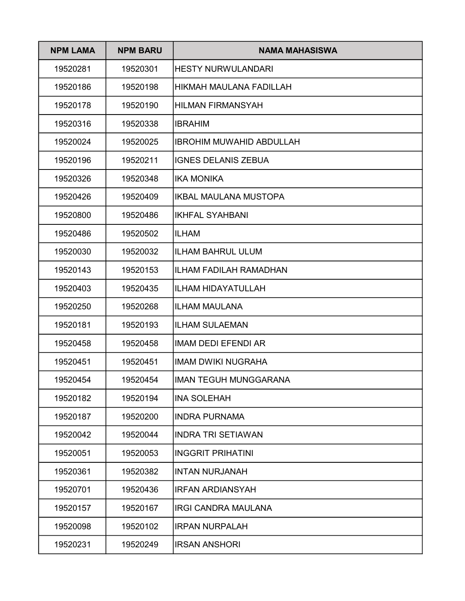| <b>NPM LAMA</b> | <b>NPM BARU</b> | <b>NAMA MAHASISWA</b>           |
|-----------------|-----------------|---------------------------------|
| 19520281        | 19520301        | <b>HESTY NURWULANDARI</b>       |
| 19520186        | 19520198        | HIKMAH MAULANA FADILLAH         |
| 19520178        | 19520190        | <b>HILMAN FIRMANSYAH</b>        |
| 19520316        | 19520338        | <b>IBRAHIM</b>                  |
| 19520024        | 19520025        | <b>IBROHIM MUWAHID ABDULLAH</b> |
| 19520196        | 19520211        | <b>IGNES DELANIS ZEBUA</b>      |
| 19520326        | 19520348        | <b>IKA MONIKA</b>               |
| 19520426        | 19520409        | <b>IKBAL MAULANA MUSTOPA</b>    |
| 19520800        | 19520486        | <b>IKHFAL SYAHBANI</b>          |
| 19520486        | 19520502        | <b>ILHAM</b>                    |
| 19520030        | 19520032        | <b>ILHAM BAHRUL ULUM</b>        |
| 19520143        | 19520153        | ILHAM FADILAH RAMADHAN          |
| 19520403        | 19520435        | <b>ILHAM HIDAYATULLAH</b>       |
| 19520250        | 19520268        | <b>ILHAM MAULANA</b>            |
| 19520181        | 19520193        | <b>ILHAM SULAEMAN</b>           |
| 19520458        | 19520458        | <b>IMAM DEDI EFENDI AR</b>      |
| 19520451        | 19520451        | <b>IMAM DWIKI NUGRAHA</b>       |
| 19520454        | 19520454        | <b>IMAN TEGUH MUNGGARANA</b>    |
| 19520182        | 19520194        | <b>INA SOLEHAH</b>              |
| 19520187        | 19520200        | <b>INDRA PURNAMA</b>            |
| 19520042        | 19520044        | <b>INDRA TRI SETIAWAN</b>       |
| 19520051        | 19520053        | <b>INGGRIT PRIHATINI</b>        |
| 19520361        | 19520382        | <b>INTAN NURJANAH</b>           |
| 19520701        | 19520436        | <b>IRFAN ARDIANSYAH</b>         |
| 19520157        | 19520167        | <b>IRGI CANDRA MAULANA</b>      |
| 19520098        | 19520102        | <b>IRPAN NURPALAH</b>           |
| 19520231        | 19520249        | <b>IRSAN ANSHORI</b>            |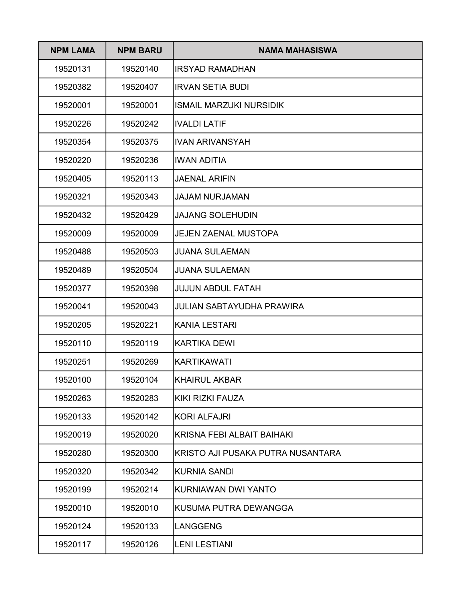| <b>NPM LAMA</b> | <b>NPM BARU</b> | NAMA MAHASISWA                    |
|-----------------|-----------------|-----------------------------------|
| 19520131        | 19520140        | <b>IRSYAD RAMADHAN</b>            |
| 19520382        | 19520407        | <b>IRVAN SETIA BUDI</b>           |
| 19520001        | 19520001        | <b>ISMAIL MARZUKI NURSIDIK</b>    |
| 19520226        | 19520242        | <b>IVALDI LATIF</b>               |
| 19520354        | 19520375        | <b>IVAN ARIVANSYAH</b>            |
| 19520220        | 19520236        | <b>IWAN ADITIA</b>                |
| 19520405        | 19520113        | <b>JAENAL ARIFIN</b>              |
| 19520321        | 19520343        | <b>JAJAM NURJAMAN</b>             |
| 19520432        | 19520429        | <b>JAJANG SOLEHUDIN</b>           |
| 19520009        | 19520009        | <b>JEJEN ZAENAL MUSTOPA</b>       |
| 19520488        | 19520503        | <b>JUANA SULAEMAN</b>             |
| 19520489        | 19520504        | <b>JUANA SULAEMAN</b>             |
| 19520377        | 19520398        | <b>JUJUN ABDUL FATAH</b>          |
| 19520041        | 19520043        | JULIAN SABTAYUDHA PRAWIRA         |
| 19520205        | 19520221        | KANIA LESTARI                     |
| 19520110        | 19520119        | <b>KARTIKA DEWI</b>               |
| 19520251        | 19520269        | <b>KARTIKAWATI</b>                |
| 19520100        | 19520104        | <b>KHAIRUL AKBAR</b>              |
| 19520263        | 19520283        | <b>KIKI RIZKI FAUZA</b>           |
| 19520133        | 19520142        | <b>KORI ALFAJRI</b>               |
| 19520019        | 19520020        | <b>KRISNA FEBI ALBAIT BAIHAKI</b> |
| 19520280        | 19520300        | KRISTO AJI PUSAKA PUTRA NUSANTARA |
| 19520320        | 19520342        | <b>KURNIA SANDI</b>               |
| 19520199        | 19520214        | KURNIAWAN DWI YANTO               |
| 19520010        | 19520010        | KUSUMA PUTRA DEWANGGA             |
| 19520124        | 19520133        | <b>LANGGENG</b>                   |
| 19520117        | 19520126        | <b>LENI LESTIANI</b>              |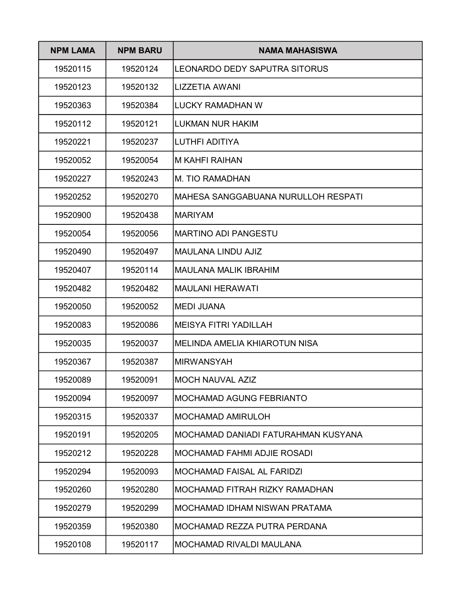| <b>NPM LAMA</b> | <b>NPM BARU</b> | <b>NAMA MAHASISWA</b>               |
|-----------------|-----------------|-------------------------------------|
| 19520115        | 19520124        | LEONARDO DEDY SAPUTRA SITORUS       |
| 19520123        | 19520132        | LIZZETIA AWANI                      |
| 19520363        | 19520384        | LUCKY RAMADHAN W                    |
| 19520112        | 19520121        | <b>LUKMAN NUR HAKIM</b>             |
| 19520221        | 19520237        | <b>LUTHFI ADITIYA</b>               |
| 19520052        | 19520054        | <b>M KAHFI RAIHAN</b>               |
| 19520227        | 19520243        | <b>M. TIO RAMADHAN</b>              |
| 19520252        | 19520270        | MAHESA SANGGABUANA NURULLOH RESPATI |
| 19520900        | 19520438        | <b>MARIYAM</b>                      |
| 19520054        | 19520056        | <b>MARTINO ADI PANGESTU</b>         |
| 19520490        | 19520497        | <b>MAULANA LINDU AJIZ</b>           |
| 19520407        | 19520114        | <b>MAULANA MALIK IBRAHIM</b>        |
| 19520482        | 19520482        | <b>MAULANI HERAWATI</b>             |
| 19520050        | 19520052        | <b>MEDI JUANA</b>                   |
| 19520083        | 19520086        | MEISYA FITRI YADILLAH               |
| 19520035        | 19520037        | IMELINDA AMELIA KHIAROTUN NISA      |
| 19520367        | 19520387        | <b>MIRWANSYAH</b>                   |
| 19520089        | 19520091        | MOCH NAUVAL AZIZ                    |
| 19520094        | 19520097        | <b>MOCHAMAD AGUNG FEBRIANTO</b>     |
| 19520315        | 19520337        | <b>MOCHAMAD AMIRULOH</b>            |
| 19520191        | 19520205        | MOCHAMAD DANIADI FATURAHMAN KUSYANA |
| 19520212        | 19520228        | <b>MOCHAMAD FAHMI ADJIE ROSADI</b>  |
| 19520294        | 19520093        | <b>MOCHAMAD FAISAL AL FARIDZI</b>   |
| 19520260        | 19520280        | MOCHAMAD FITRAH RIZKY RAMADHAN      |
| 19520279        | 19520299        | MOCHAMAD IDHAM NISWAN PRATAMA       |
| 19520359        | 19520380        | MOCHAMAD REZZA PUTRA PERDANA        |
| 19520108        | 19520117        | <b>MOCHAMAD RIVALDI MAULANA</b>     |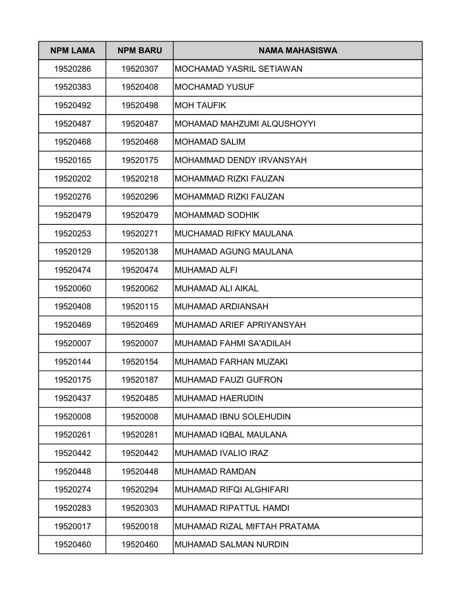| <b>NPM LAMA</b> | <b>NPM BARU</b> | NAMA MAHASISWA                 |
|-----------------|-----------------|--------------------------------|
| 19520286        | 19520307        | MOCHAMAD YASRIL SETIAWAN       |
| 19520383        | 19520408        | <b>MOCHAMAD YUSUF</b>          |
| 19520492        | 19520498        | <b>MOH TAUFIK</b>              |
| 19520487        | 19520487        | MOHAMAD MAHZUMI ALQUSHOYYI     |
| 19520468        | 19520468        | MOHAMAD SALIM                  |
| 19520165        | 19520175        | MOHAMMAD DENDY IRVANSYAH       |
| 19520202        | 19520218        | MOHAMMAD RIZKI FAUZAN          |
| 19520276        | 19520296        | MOHAMMAD RIZKI FAUZAN          |
| 19520479        | 19520479        | IMOHAMMAD SODHIK               |
| 19520253        | 19520271        | MUCHAMAD RIFKY MAULANA         |
| 19520129        | 19520138        | MUHAMAD AGUNG MAULANA          |
| 19520474        | 19520474        | <b>IMUHAMAD ALFI</b>           |
| 19520060        | 19520062        | IMUHAMAD ALI AIKAL             |
| 19520408        | 19520115        | MUHAMAD ARDIANSAH              |
| 19520469        | 19520469        | IMUHAMAD ARIEF APRIYANSYAH     |
| 19520007        | 19520007        | IMUHAMAD FAHMI SA'ADILAH       |
| 19520144        | 19520154        | IMUHAMAD FARHAN MUZAKI         |
| 19520175        | 19520187        | MUHAMAD FAUZI GUFRON           |
| 19520437        | 19520485        | <b>MUHAMAD HAERUDIN</b>        |
| 19520008        | 19520008        | <b>MUHAMAD IBNU SOLEHUDIN</b>  |
| 19520261        | 19520281        | MUHAMAD IQBAL MAULANA          |
| 19520442        | 19520442        | MUHAMAD IVALIO IRAZ            |
| 19520448        | 19520448        | <b>MUHAMAD RAMDAN</b>          |
| 19520274        | 19520294        | <b>MUHAMAD RIFQI ALGHIFARI</b> |
| 19520283        | 19520303        | MUHAMAD RIPATTUL HAMDI         |
| 19520017        | 19520018        | MUHAMAD RIZAL MIFTAH PRATAMA   |
| 19520460        | 19520460        | <b>MUHAMAD SALMAN NURDIN</b>   |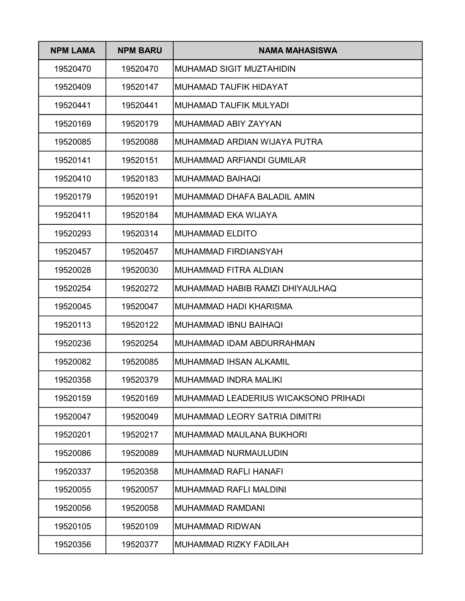| <b>NPM LAMA</b> | <b>NPM BARU</b> | <b>NAMA MAHASISWA</b>                |
|-----------------|-----------------|--------------------------------------|
| 19520470        | 19520470        | MUHAMAD SIGIT MUZTAHIDIN             |
| 19520409        | 19520147        | MUHAMAD TAUFIK HIDAYAT               |
| 19520441        | 19520441        | MUHAMAD TAUFIK MULYADI               |
| 19520169        | 19520179        | IMUHAMMAD ABIY ZAYYAN                |
| 19520085        | 19520088        | MUHAMMAD ARDIAN WIJAYA PUTRA         |
| 19520141        | 19520151        | IMUHAMMAD ARFIANDI GUMILAR           |
| 19520410        | 19520183        | IMUHAMMAD BAIHAQI                    |
| 19520179        | 19520191        | MUHAMMAD DHAFA BALADIL AMIN          |
| 19520411        | 19520184        | IMUHAMMAD EKA WIJAYA                 |
| 19520293        | 19520314        | MUHAMMAD ELDITO                      |
| 19520457        | 19520457        | IMUHAMMAD FIRDIANSYAH                |
| 19520028        | 19520030        | IMUHAMMAD FITRA ALDIAN               |
| 19520254        | 19520272        | MUHAMMAD HABIB RAMZI DHIYAULHAQ      |
| 19520045        | 19520047        | IMUHAMMAD HADI KHARISMA              |
| 19520113        | 19520122        | MUHAMMAD IBNU BAIHAQI                |
| 19520236        | 19520254        | IMUHAMMAD IDAM ABDURRAHMAN           |
| 19520082        | 19520085        | IMUHAMMAD IHSAN ALKAMIL              |
| 19520358        | 19520379        | MUHAMMAD INDRA MALIKI                |
| 19520159        | 19520169        | MUHAMMAD LEADERIUS WICAKSONO PRIHADI |
| 19520047        | 19520049        | MUHAMMAD LEORY SATRIA DIMITRI        |
| 19520201        | 19520217        | <b>MUHAMMAD MAULANA BUKHORI</b>      |
| 19520086        | 19520089        | MUHAMMAD NURMAULUDIN                 |
| 19520337        | 19520358        | <b>MUHAMMAD RAFLI HANAFI</b>         |
| 19520055        | 19520057        | <b>MUHAMMAD RAFLI MALDINI</b>        |
| 19520056        | 19520058        | <b>MUHAMMAD RAMDANI</b>              |
| 19520105        | 19520109        | <b>MUHAMMAD RIDWAN</b>               |
| 19520356        | 19520377        | MUHAMMAD RIZKY FADILAH               |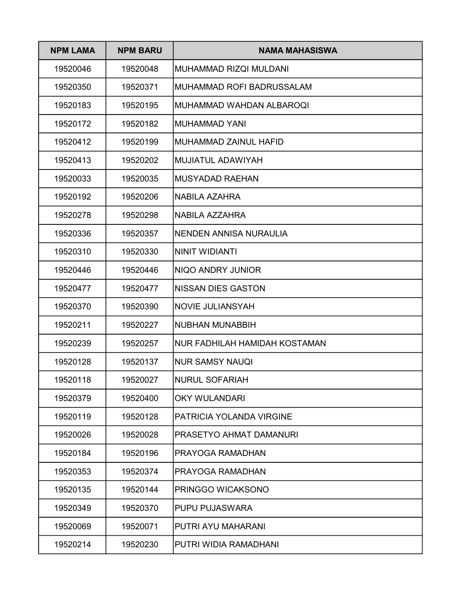| <b>NPM LAMA</b> | <b>NPM BARU</b> | <b>NAMA MAHASISWA</b>            |
|-----------------|-----------------|----------------------------------|
| 19520046        | 19520048        | MUHAMMAD RIZQI MULDANI           |
| 19520350        | 19520371        | <b>MUHAMMAD ROFI BADRUSSALAM</b> |
| 19520183        | 19520195        | MUHAMMAD WAHDAN ALBAROOL         |
| 19520172        | 19520182        | MUHAMMAD YANI                    |
| 19520412        | 19520199        | MUHAMMAD ZAINUL HAFID            |
| 19520413        | 19520202        | <b>MUJIATUL ADAWIYAH</b>         |
| 19520033        | 19520035        | <b>MUSYADAD RAEHAN</b>           |
| 19520192        | 19520206        | <b>NABILA AZAHRA</b>             |
| 19520278        | 19520298        | NABILA AZZAHRA                   |
| 19520336        | 19520357        | NENDEN ANNISA NURAULIA           |
| 19520310        | 19520330        | NINIT WIDIANTI                   |
| 19520446        | 19520446        | NIQO ANDRY JUNIOR                |
| 19520477        | 19520477        | <b>NISSAN DIES GASTON</b>        |
| 19520370        | 19520390        | <b>NOVIE JULIANSYAH</b>          |
| 19520211        | 19520227        | NUBHAN MUNABBIH                  |
| 19520239        | 19520257        | NUR FADHILAH HAMIDAH KOSTAMAN    |
| 19520128        | 19520137        | <b>NUR SAMSY NAUQI</b>           |
| 19520118        | 19520027        | <b>NURUL SOFARIAH</b>            |
| 19520379        | 19520400        | <b>OKY WULANDARI</b>             |
| 19520119        | 19520128        | PATRICIA YOLANDA VIRGINE         |
| 19520026        | 19520028        | PRASETYO AHMAT DAMANURI          |
| 19520184        | 19520196        | PRAYOGA RAMADHAN                 |
| 19520353        | 19520374        | PRAYOGA RAMADHAN                 |
| 19520135        | 19520144        | PRINGGO WICAKSONO                |
| 19520349        | 19520370        | PUPU PUJASWARA                   |
| 19520069        | 19520071        | PUTRI AYU MAHARANI               |
| 19520214        | 19520230        | PUTRI WIDIA RAMADHANI            |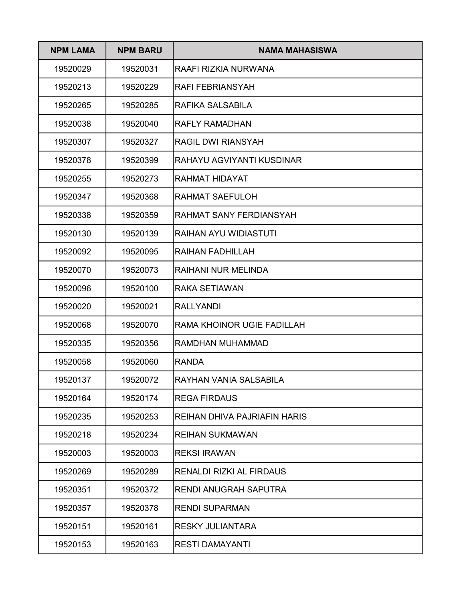| <b>NPM LAMA</b> | <b>NPM BARU</b> | <b>NAMA MAHASISWA</b>               |
|-----------------|-----------------|-------------------------------------|
| 19520029        | 19520031        | RAAFI RIZKIA NURWANA                |
| 19520213        | 19520229        | <b>RAFI FEBRIANSYAH</b>             |
| 19520265        | 19520285        | RAFIKA SALSABILA                    |
| 19520038        | 19520040        | <b>RAFLY RAMADHAN</b>               |
| 19520307        | 19520327        | <b>RAGIL DWI RIANSYAH</b>           |
| 19520378        | 19520399        | RAHAYU AGVIYANTI KUSDINAR           |
| 19520255        | 19520273        | RAHMAT HIDAYAT                      |
| 19520347        | 19520368        | <b>RAHMAT SAEFULOH</b>              |
| 19520338        | 19520359        | RAHMAT SANY FERDIANSYAH             |
| 19520130        | 19520139        | <b>RAIHAN AYU WIDIASTUTI</b>        |
| 19520092        | 19520095        | <b>RAIHAN FADHILLAH</b>             |
| 19520070        | 19520073        | <b>RAIHANI NUR MELINDA</b>          |
| 19520096        | 19520100        | <b>RAKA SETIAWAN</b>                |
| 19520020        | 19520021        | <b>RALLYANDI</b>                    |
| 19520068        | 19520070        | RAMA KHOINOR UGIE FADILLAH          |
| 19520335        | 19520356        | RAMDHAN MUHAMMAD                    |
| 19520058        | 19520060        | <b>RANDA</b>                        |
| 19520137        | 19520072        | RAYHAN VANIA SALSABILA              |
| 19520164        | 19520174        | <b>REGA FIRDAUS</b>                 |
| 19520235        | 19520253        | <b>REIHAN DHIVA PAJRIAFIN HARIS</b> |
| 19520218        | 19520234        | <b>REIHAN SUKMAWAN</b>              |
| 19520003        | 19520003        | <b>REKSI IRAWAN</b>                 |
| 19520269        | 19520289        | <b>RENALDI RIZKI AL FIRDAUS</b>     |
| 19520351        | 19520372        | <b>RENDI ANUGRAH SAPUTRA</b>        |
| 19520357        | 19520378        | <b>RENDI SUPARMAN</b>               |
| 19520151        | 19520161        | <b>RESKY JULIANTARA</b>             |
| 19520153        | 19520163        | <b>RESTI DAMAYANTI</b>              |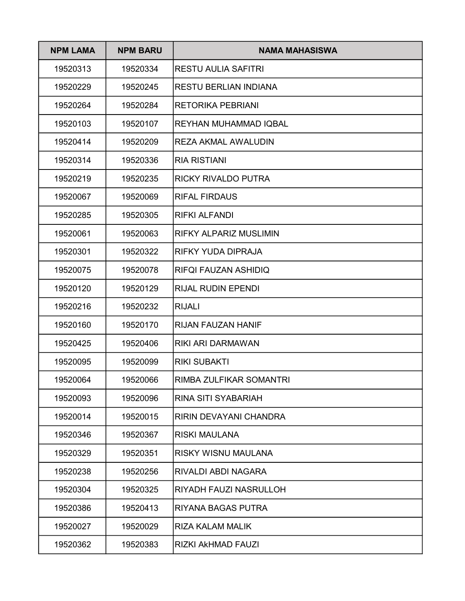| <b>NPM LAMA</b> | <b>NPM BARU</b> | NAMA MAHASISWA                |
|-----------------|-----------------|-------------------------------|
| 19520313        | 19520334        | <b>RESTU AULIA SAFITRI</b>    |
| 19520229        | 19520245        | <b>RESTU BERLIAN INDIANA</b>  |
| 19520264        | 19520284        | <b>RETORIKA PEBRIANI</b>      |
| 19520103        | 19520107        | <b>REYHAN MUHAMMAD IQBAL</b>  |
| 19520414        | 19520209        | REZA AKMAL AWALUDIN           |
| 19520314        | 19520336        | <b>RIA RISTIANI</b>           |
| 19520219        | 19520235        | <b>RICKY RIVALDO PUTRA</b>    |
| 19520067        | 19520069        | <b>RIFAL FIRDAUS</b>          |
| 19520285        | 19520305        | <b>RIFKI ALFANDI</b>          |
| 19520061        | 19520063        | <b>RIFKY ALPARIZ MUSLIMIN</b> |
| 19520301        | 19520322        | RIFKY YUDA DIPRAJA            |
| 19520075        | 19520078        | RIFQI FAUZAN ASHIDIQ          |
| 19520120        | 19520129        | <b>RIJAL RUDIN EPENDI</b>     |
| 19520216        | 19520232        | <b>RIJALI</b>                 |
| 19520160        | 19520170        | <b>RIJAN FAUZAN HANIF</b>     |
| 19520425        | 19520406        | RIKI ARI DARMAWAN             |
| 19520095        | 19520099        | <b>RIKI SUBAKTI</b>           |
| 19520064        | 19520066        | RIMBA ZULFIKAR SOMANTRI       |
| 19520093        | 19520096        | <b>RINA SITI SYABARIAH</b>    |
| 19520014        | 19520015        | RIRIN DEVAYANI CHANDRA        |
| 19520346        | 19520367        | <b>RISKI MAULANA</b>          |
| 19520329        | 19520351        | RISKY WISNU MAULANA           |
| 19520238        | 19520256        | RIVALDI ABDI NAGARA           |
| 19520304        | 19520325        | RIYADH FAUZI NASRULLOH        |
| 19520386        | 19520413        | RIYANA BAGAS PUTRA            |
| 19520027        | 19520029        | RIZA KALAM MALIK              |
| 19520362        | 19520383        | RIZKI AKHMAD FAUZI            |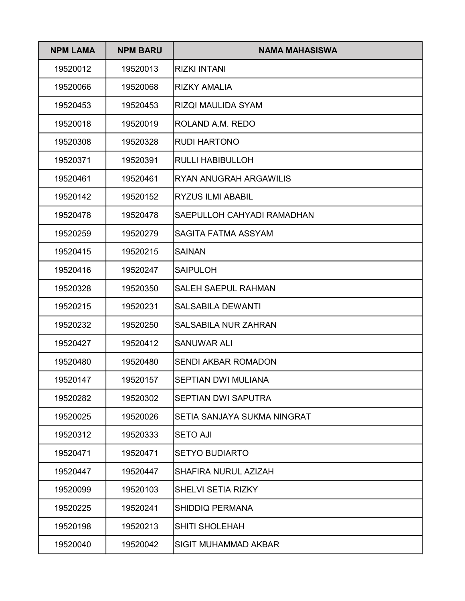| <b>NPM LAMA</b> | <b>NPM BARU</b> | <b>NAMA MAHASISWA</b>       |
|-----------------|-----------------|-----------------------------|
| 19520012        | 19520013        | <b>RIZKI INTANI</b>         |
| 19520066        | 19520068        | RIZKY AMALIA                |
| 19520453        | 19520453        | <b>RIZQI MAULIDA SYAM</b>   |
| 19520018        | 19520019        | ROLAND A.M. REDO            |
| 19520308        | 19520328        | <b>RUDI HARTONO</b>         |
| 19520371        | 19520391        | <b>RULLI HABIBULLOH</b>     |
| 19520461        | 19520461        | RYAN ANUGRAH ARGAWILIS      |
| 19520142        | 19520152        | <b>RYZUS ILMI ABABIL</b>    |
| 19520478        | 19520478        | SAEPULLOH CAHYADI RAMADHAN  |
| 19520259        | 19520279        | SAGITA FATMA ASSYAM         |
| 19520415        | 19520215        | <b>SAINAN</b>               |
| 19520416        | 19520247        | <b>SAIPULOH</b>             |
| 19520328        | 19520350        | <b>SALEH SAEPUL RAHMAN</b>  |
| 19520215        | 19520231        | <b>SALSABILA DEWANTI</b>    |
| 19520232        | 19520250        | <b>SALSABILA NUR ZAHRAN</b> |
| 19520427        | 19520412        | <b>SANUWAR ALI</b>          |
| 19520480        | 19520480        | <b>SENDI AKBAR ROMADON</b>  |
| 19520147        | 19520157        | SEPTIAN DWI MULIANA         |
| 19520282        | 19520302        | SEPTIAN DWI SAPUTRA         |
| 19520025        | 19520026        | SETIA SANJAYA SUKMA NINGRAT |
| 19520312        | 19520333        | <b>SETO AJI</b>             |
| 19520471        | 19520471        | <b>SETYO BUDIARTO</b>       |
| 19520447        | 19520447        | SHAFIRA NURUL AZIZAH        |
| 19520099        | 19520103        | <b>SHELVI SETIA RIZKY</b>   |
| 19520225        | 19520241        | <b>SHIDDIQ PERMANA</b>      |
| 19520198        | 19520213        | <b>SHITI SHOLEHAH</b>       |
| 19520040        | 19520042        | <b>SIGIT MUHAMMAD AKBAR</b> |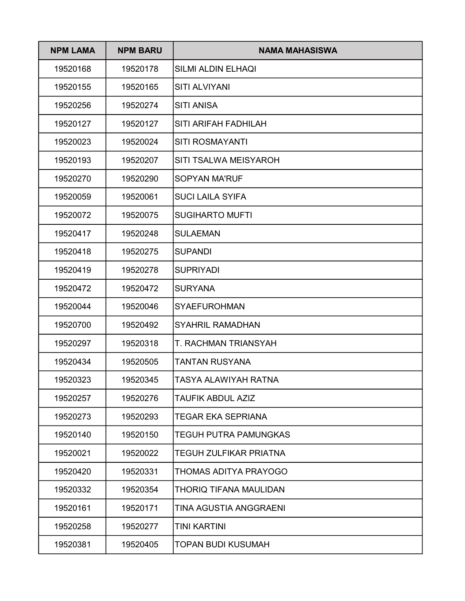| <b>NPM LAMA</b> | <b>NPM BARU</b> | <b>NAMA MAHASISWA</b>         |
|-----------------|-----------------|-------------------------------|
| 19520168        | 19520178        | <b>SILMI ALDIN ELHAQI</b>     |
| 19520155        | 19520165        | <b>SITI ALVIYANI</b>          |
| 19520256        | 19520274        | <b>SITI ANISA</b>             |
| 19520127        | 19520127        | <b>SITI ARIFAH FADHILAH</b>   |
| 19520023        | 19520024        | <b>SITI ROSMAYANTI</b>        |
| 19520193        | 19520207        | <b>SITI TSALWA MEISYAROH</b>  |
| 19520270        | 19520290        | <b>SOPYAN MA'RUF</b>          |
| 19520059        | 19520061        | <b>SUCI LAILA SYIFA</b>       |
| 19520072        | 19520075        | <b>SUGIHARTO MUFTI</b>        |
| 19520417        | 19520248        | <b>SULAEMAN</b>               |
| 19520418        | 19520275        | <b>SUPANDI</b>                |
| 19520419        | 19520278        | <b>SUPRIYADI</b>              |
| 19520472        | 19520472        | <b>SURYANA</b>                |
| 19520044        | 19520046        | <b>SYAEFUROHMAN</b>           |
| 19520700        | 19520492        | <b>SYAHRIL RAMADHAN</b>       |
| 19520297        | 19520318        | <b>T. RACHMAN TRIANSYAH</b>   |
| 19520434        | 19520505        | <b>TANTAN RUSYANA</b>         |
| 19520323        | 19520345        | TASYA ALAWIYAH RATNA          |
| 19520257        | 19520276        | <b>TAUFIK ABDUL AZIZ</b>      |
| 19520273        | 19520293        | <b>TEGAR EKA SEPRIANA</b>     |
| 19520140        | 19520150        | <b>TEGUH PUTRA PAMUNGKAS</b>  |
| 19520021        | 19520022        | <b>TEGUH ZULFIKAR PRIATNA</b> |
| 19520420        | 19520331        | <b>THOMAS ADITYA PRAYOGO</b>  |
| 19520332        | 19520354        | <b>THORIQ TIFANA MAULIDAN</b> |
| 19520161        | 19520171        | TINA AGUSTIA ANGGRAENI        |
| 19520258        | 19520277        | <b>TINI KARTINI</b>           |
| 19520381        | 19520405        | <b>TOPAN BUDI KUSUMAH</b>     |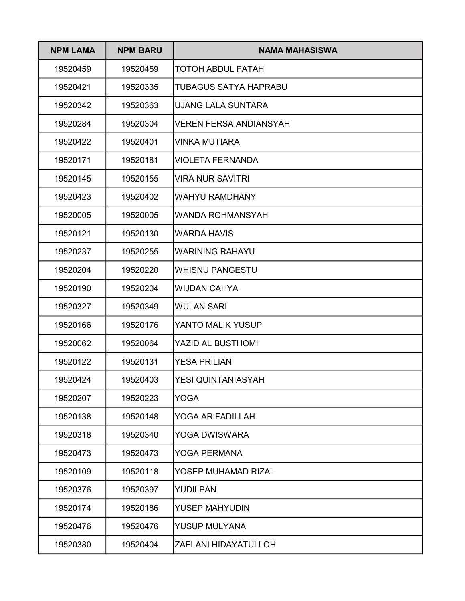| <b>NPM LAMA</b> | <b>NPM BARU</b> | NAMA MAHASISWA                |
|-----------------|-----------------|-------------------------------|
| 19520459        | 19520459        | <b>TOTOH ABDUL FATAH</b>      |
| 19520421        | 19520335        | <b>TUBAGUS SATYA HAPRABU</b>  |
| 19520342        | 19520363        | <b>UJANG LALA SUNTARA</b>     |
| 19520284        | 19520304        | <b>VEREN FERSA ANDIANSYAH</b> |
| 19520422        | 19520401        | <b>VINKA MUTIARA</b>          |
| 19520171        | 19520181        | VIOLETA FERNANDA              |
| 19520145        | 19520155        | <b>VIRA NUR SAVITRI</b>       |
| 19520423        | 19520402        | <b>WAHYU RAMDHANY</b>         |
| 19520005        | 19520005        | <b>WANDA ROHMANSYAH</b>       |
| 19520121        | 19520130        | <b>WARDA HAVIS</b>            |
| 19520237        | 19520255        | <b>WARINING RAHAYU</b>        |
| 19520204        | 19520220        | <b>WHISNU PANGESTU</b>        |
| 19520190        | 19520204        | <b>WIJDAN CAHYA</b>           |
| 19520327        | 19520349        | <b>WULAN SARI</b>             |
| 19520166        | 19520176        | YANTO MALIK YUSUP             |
| 19520062        | 19520064        | <b>YAZID AL BUSTHOMI</b>      |
| 19520122        | 19520131        | <b>YESA PRILIAN</b>           |
| 19520424        | 19520403        | YESI QUINTANIASYAH            |
| 19520207        | 19520223        | <b>YOGA</b>                   |
| 19520138        | 19520148        | YOGA ARIFADILLAH              |
| 19520318        | 19520340        | <b>YOGA DWISWARA</b>          |
| 19520473        | 19520473        | <b>YOGA PERMANA</b>           |
| 19520109        | 19520118        | YOSEP MUHAMAD RIZAL           |
| 19520376        | 19520397        | YUDILPAN                      |
| 19520174        | 19520186        | YUSEP MAHYUDIN                |
| 19520476        | 19520476        | <b>YUSUP MULYANA</b>          |
| 19520380        | 19520404        | ZAELANI HIDAYATULLOH          |